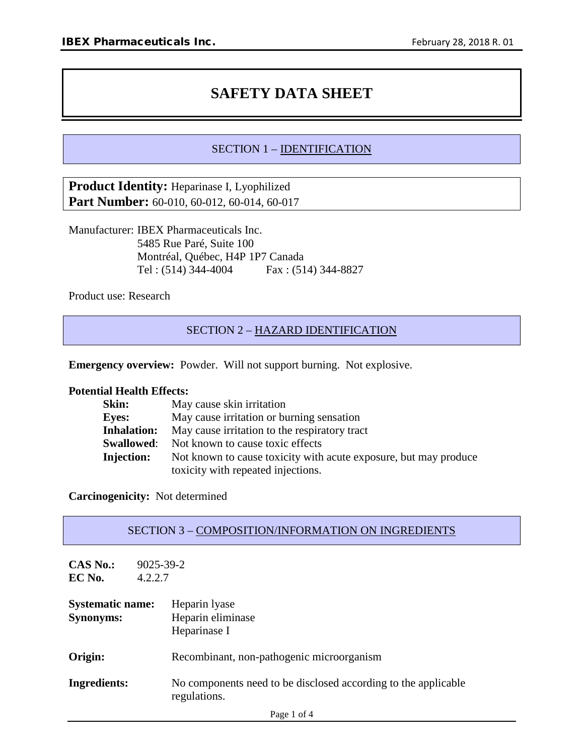# **SAFETY DATA SHEET**

# SECTION 1 – IDENTIFICATION

**Product Identity:** Heparinase I, Lyophilized **Part Number:** 60-010, 60-012, 60-014, 60-017

Manufacturer: IBEX Pharmaceuticals Inc. 5485 Rue Paré, Suite 100 Montréal, Québec, H4P 1P7 Canada Tel : (514) 344-4004 Fax : (514) 344-8827

Product use: Research

# SECTION 2 – HAZARD IDENTIFICATION

**Emergency overview:** Powder. Will not support burning. Not explosive.

#### **Potential Health Effects:**

| May cause skin irritation                                        |
|------------------------------------------------------------------|
| May cause irritation or burning sensation                        |
| May cause irritation to the respiratory tract                    |
| Not known to cause toxic effects                                 |
| Not known to cause toxicity with acute exposure, but may produce |
| toxicity with repeated injections.                               |
|                                                                  |

**Carcinogenicity:** Not determined

| <b>SECTION 3 – COMPOSITION/INFORMATION ON INGREDIENTS</b> |
|-----------------------------------------------------------|
|-----------------------------------------------------------|

| <b>CAS No.:</b><br>EC No.                   | $9025 - 39 - 2$<br>4.2.2.7                                                     |
|---------------------------------------------|--------------------------------------------------------------------------------|
| <b>Systematic name:</b><br><b>Synonyms:</b> | Heparin lyase<br>Heparin eliminase<br>Heparinase I                             |
| Origin:                                     | Recombinant, non-pathogenic microorganism                                      |
| Ingredients:                                | No components need to be disclosed according to the applicable<br>regulations. |
|                                             | Page 1 of 4                                                                    |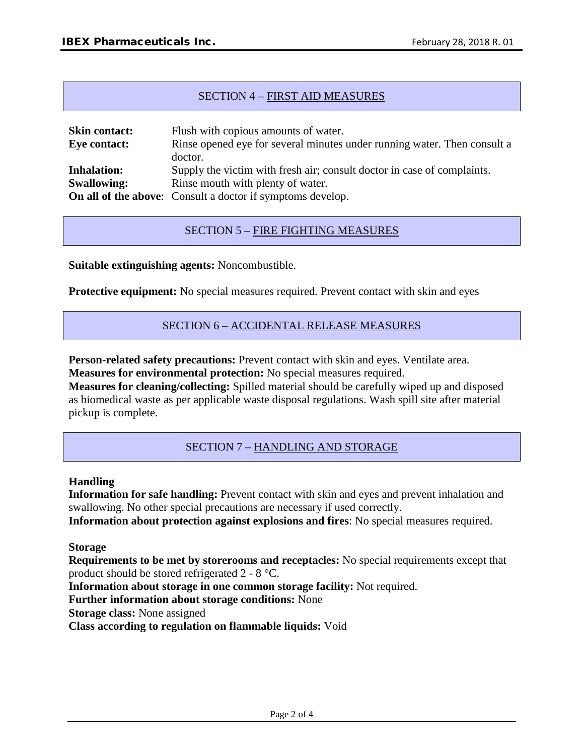# SECTION 4 – FIRST AID MEASURES

| <b>Skin contact:</b> | Flush with copious amounts of water.                                     |
|----------------------|--------------------------------------------------------------------------|
| Eye contact:         | Rinse opened eye for several minutes under running water. Then consult a |
|                      | doctor.                                                                  |
| <b>Inhalation:</b>   | Supply the victim with fresh air; consult doctor in case of complaints.  |
| <b>Swallowing:</b>   | Rinse mouth with plenty of water.                                        |
|                      | <b>On all of the above:</b> Consult a doctor if symptoms develop.        |

# SECTION 5 – FIRE FIGHTING MEASURES

**Suitable extinguishing agents:** Noncombustible.

**Protective equipment:** No special measures required. Prevent contact with skin and eyes

#### SECTION 6 – ACCIDENTAL RELEASE MEASURES

**Person-related safety precautions:** Prevent contact with skin and eyes. Ventilate area. **Measures for environmental protection:** No special measures required.

**Measures for cleaning/collecting:** Spilled material should be carefully wiped up and disposed as biomedical waste as per applicable waste disposal regulations. Wash spill site after material pickup is complete.

# SECTION 7 – HANDLING AND STORAGE

#### **Handling**

**Information for safe handling:** Prevent contact with skin and eyes and prevent inhalation and swallowing. No other special precautions are necessary if used correctly.

**Information about protection against explosions and fires**: No special measures required.

**Storage**

**Requirements to be met by storerooms and receptacles:** No special requirements except that product should be stored refrigerated 2 - 8 °C.

**Information about storage in one common storage facility:** Not required.

**Further information about storage conditions:** None

**Storage class:** None assigned

**Class according to regulation on flammable liquids:** Void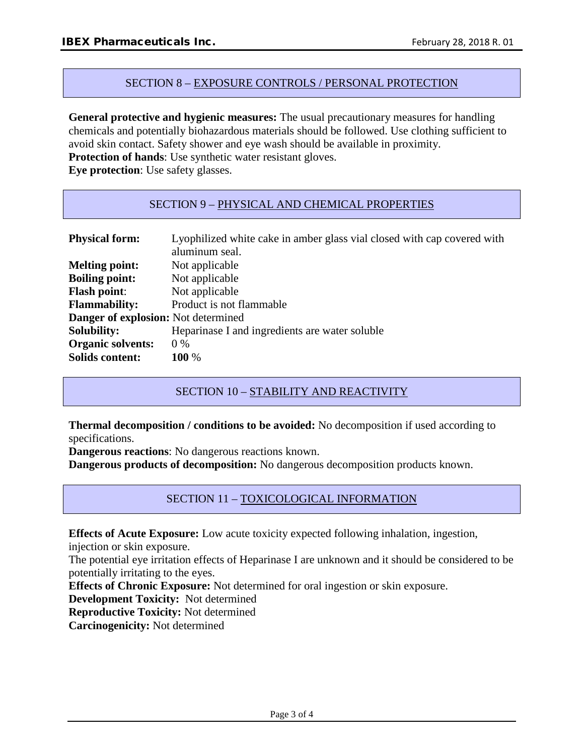#### SECTION 8 – EXPOSURE CONTROLS / PERSONAL PROTECTION

**General protective and hygienic measures:** The usual precautionary measures for handling chemicals and potentially biohazardous materials should be followed. Use clothing sufficient to avoid skin contact. Safety shower and eye wash should be available in proximity. **Protection of hands**: Use synthetic water resistant gloves.

**Eye protection**: Use safety glasses.

# SECTION 9 – PHYSICAL AND CHEMICAL PROPERTIES

| <b>Physical form:</b>                      | Lyophilized white cake in amber glass vial closed with cap covered with<br>aluminum seal. |
|--------------------------------------------|-------------------------------------------------------------------------------------------|
| <b>Melting point:</b>                      | Not applicable                                                                            |
| <b>Boiling point:</b>                      | Not applicable                                                                            |
| <b>Flash point:</b>                        | Not applicable                                                                            |
| <b>Flammability:</b>                       | Product is not flammable                                                                  |
| <b>Danger of explosion:</b> Not determined |                                                                                           |
| <b>Solubility:</b>                         | Heparinase I and ingredients are water soluble                                            |
| <b>Organic solvents:</b>                   | $0\%$                                                                                     |
| <b>Solids content:</b>                     | 100 %                                                                                     |

SECTION 10 – STABILITY AND REACTIVITY

**Thermal decomposition / conditions to be avoided:** No decomposition if used according to specifications.

**Dangerous reactions**: No dangerous reactions known.

**Dangerous products of decomposition:** No dangerous decomposition products known.

# SECTION 11 – TOXICOLOGICAL INFORMATION

**Effects of Acute Exposure:** Low acute toxicity expected following inhalation, ingestion,

injection or skin exposure.

The potential eye irritation effects of Heparinase I are unknown and it should be considered to be potentially irritating to the eyes.

**Effects of Chronic Exposure:** Not determined for oral ingestion or skin exposure.

**Development Toxicity:** Not determined

**Reproductive Toxicity:** Not determined

**Carcinogenicity:** Not determined